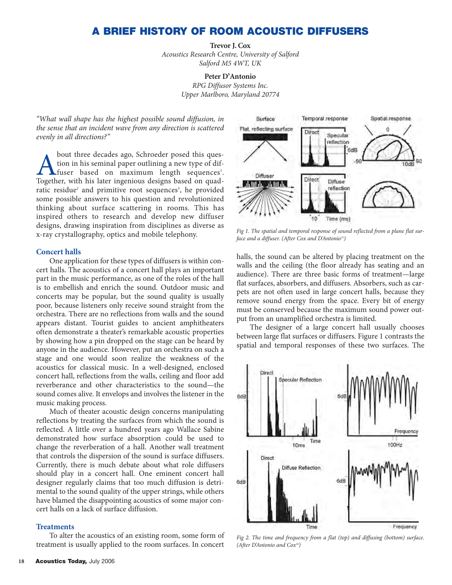# **A BRIEF HISTORY OF ROOM ACOUSTIC DIFFUSERS**

**Trevor J. Cox**

*Acoustics Research Centre, University of Salford Salford M5 4WT, UK*

#### **Peter D'Antonio**

*RPG Diffusor Systems Inc. Upper Marlboro, Maryland 20774*

*"What wall shape has the highest possible sound diffusion, in the sense that an incident wave from any direction is scattered evenly in all directions?"*

bout three decades ago, Schroeder posed this ques-<br>tion in his seminal paper outlining a new type of dif-<br>fuser based on maximum length sequences<sup>1</sup>.<br>Together, with his later ingenious designs based on quadtion in his seminal paper outlining a new type of diffuser based on maximum length sequences<sup>1</sup>. Together, with his later ingenious designs based on quadratic residue<sup>2</sup> and primitive root sequences<sup>3</sup>, he provided some possible answers to his question and revolutionized thinking about surface scattering in rooms. This has inspired others to research and develop new diffuser designs, drawing inspiration from disciplines as diverse as x-ray crystallography, optics and mobile telephony.

#### **Concert halls**

One application for these types of diffusers is within concert halls. The acoustics of a concert hall plays an important part in the music performance, as one of the roles of the hall is to embellish and enrich the sound. Outdoor music and concerts may be popular, but the sound quality is usually poor, because listeners only receive sound straight from the orchestra. There are no reflections from walls and the sound appears distant. Tourist guides to ancient amphitheaters often demonstrate a theater's remarkable acoustic properties by showing how a pin dropped on the stage can be heard by anyone in the audience. However, put an orchestra on such a stage and one would soon realize the weakness of the acoustics for classical music. In a well-designed, enclosed concert hall, reflections from the walls, ceiling and floor add reverberance and other characteristics to the sound—the sound comes alive. It envelops and involves the listener in the music making process.

Much of theater acoustic design concerns manipulating reflections by treating the surfaces from which the sound is reflected. A little over a hundred years ago Wallace Sabine demonstrated how surface absorption could be used to change the reverberation of a hall. Another wall treatment that controls the dispersion of the sound is surface diffusers. Currently, there is much debate about what role diffusers should play in a concert hall. One eminent concert hall designer regularly claims that too much diffusion is detrimental to the sound quality of the upper strings, while others have blamed the disappointing acoustics of some major concert halls on a lack of surface diffusion.

#### **Treatments**

To alter the acoustics of an existing room, some form of treatment is usually applied to the room surfaces. In concert



*Fig 1. The spatial and temporal response of sound reflected from a plane flat surface and a diffuser. (After Cox and D'Antonio<sup>15</sup>)* 

halls, the sound can be altered by placing treatment on the walls and the ceiling (the floor already has seating and an audience). There are three basic forms of treatment—large flat surfaces, absorbers, and diffusers. Absorbers, such as carpets are not often used in large concert halls, because they remove sound energy from the space. Every bit of energy must be conserved because the maximum sound power output from an unamplified orchestra is limited.

The designer of a large concert hall usually chooses between large flat surfaces or diffusers. Figure 1 contrasts the spatial and temporal responses of these two surfaces. The



*Fig 2. The time and frequency from a flat (top) and diffusing (bottom) surface. (After D'Antonio and Cox16)*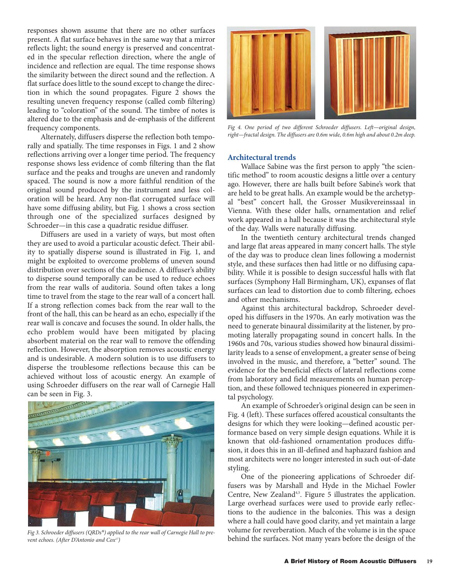responses shown assume that there are no other surfaces present. A flat surface behaves in the same way that a mirror reflects light; the sound energy is preserved and concentrated in the specular reflection direction, where the angle of incidence and reflection are equal. The time response shows the similarity between the direct sound and the reflection. A flat surface does little to the sound except to change the direction in which the sound propagates. Figure 2 shows the resulting uneven frequency response (called comb filtering) leading to "coloration" of the sound. The timbre of notes is altered due to the emphasis and de-emphasis of the different frequency components.

Alternately, diffusers disperse the reflection both temporally and spatially. The time responses in Figs. 1 and 2 show reflections arriving over a longer time period. The frequency response shows less evidence of comb filtering than the flat surface and the peaks and troughs are uneven and randomly spaced. The sound is now a more faithful rendition of the original sound produced by the instrument and less coloration will be heard. Any non-flat corrugated surface will have some diffusing ability, but Fig. 1 shows a cross section through one of the specialized surfaces designed by Schroeder—in this case a quadratic residue diffuser.

Diffusers are used in a variety of ways, but most often they are used to avoid a particular acoustic defect. Their ability to spatially disperse sound is illustrated in Fig. 1, and might be exploited to overcome problems of uneven sound distribution over sections of the audience. A diffuser's ability to disperse sound temporally can be used to reduce echoes from the rear walls of auditoria. Sound often takes a long time to travel from the stage to the rear wall of a concert hall. If a strong reflection comes back from the rear wall to the front of the hall, this can be heard as an echo, especially if the rear wall is concave and focuses the sound. In older halls, the echo problem would have been mitigated by placing absorbent material on the rear wall to remove the offending reflection. However, the absorption removes acoustic energy and is undesirable. A modern solution is to use diffusers to disperse the troublesome reflections because this can be achieved without loss of acoustic energy. An example of using Schroeder diffusers on the rear wall of Carnegie Hall



*vent echoes. (After D'Antonio and Cox17)*



*Fig 4. One period of two different Schroeder diffusers. Left—original design, right—fractal design. The diffusers are 0.6m wide, 0.6m high and about 0.2m deep.* 

#### **Architectural trends**

Wallace Sabine was the first person to apply "the scientific method" to room acoustic designs a little over a century ago. However, there are halls built before Sabine's work that are held to be great halls. An example would be the archetypal "best" concert hall, the Grosser Musikvereinssaal in Vienna. With these older halls, ornamentation and relief work appeared in a hall because it was the architectural style of the day. Walls were naturally diffusing.

In the twentieth century architectural trends changed and large flat areas appeared in many concert halls. The style of the day was to produce clean lines following a modernist style, and these surfaces then had little or no diffusing capability. While it is possible to design successful halls with flat surfaces (Symphony Hall Birmingham, UK), expanses of flat surfaces can lead to distortion due to comb filtering, echoes and other mechanisms.

Against this architectural backdrop, Schroeder developed his diffusers in the 1970s. An early motivation was the need to generate binaural dissimilarity at the listener, by promoting laterally propagating sound in concert halls. In the 1960s and 70s, various studies showed how binaural dissimilarity leads to a sense of envelopment, a greater sense of being involved in the music, and therefore, a "better" sound. The evidence for the beneficial effects of lateral reflections come from laboratory and field measurements on human perception, and these followed techniques pioneered in experimental psychology.

An example of Schroeder's original design can be seen in Fig. 4 (left). These surfaces offered acoustical consultants the designs for which they were looking—defined acoustic performance based on very simple design equations. While it is known that old-fashioned ornamentation produces diffusion, it does this in an ill-defined and haphazard fashion and most architects were no longer interested in such out-of-date styling.

One of the pioneering applications of Schroeder diffusers was by Marshall and Hyde in the Michael Fowler Centre, New Zealand<sup>4,5</sup>. Figure 5 illustrates the application. Large overhead surfaces were used to provide early reflections to the audience in the balconies. This was a design where a hall could have good clarity, and yet maintain a large volume for reverberation. Much of the volume is in the space Fig 3. Schroeder diffusers (QRDs®) applied to the rear wall of Carnegie Hall to pre-<br>Fig 3. Schroeder diffusers (QRDs®) applied to the rear wall of Carnegie Hall to pre-<br>**behind the surfaces. Not many years before the desi**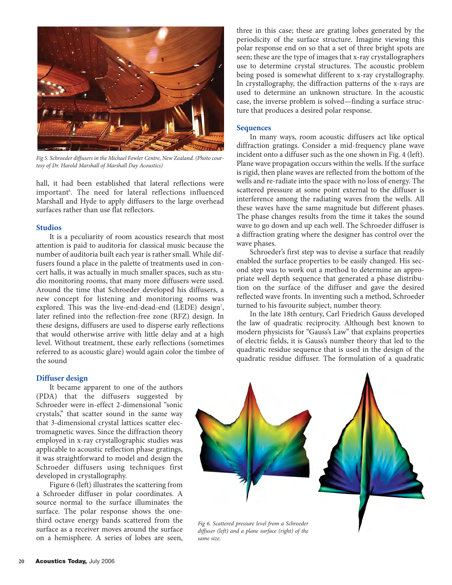

*Fig 5. Schroeder diffusers in the Michael Fowler Centre, New Zealand. (Photo courtesy of Dr. Harold Marshall of Marshall Day Acoustics)*

hall, it had been established that lateral reflections were important<sup>6</sup>. The need for lateral reflections influenced Marshall and Hyde to apply diffusers to the large overhead surfaces rather than use flat reflectors.

#### **Studios**

It is a peculiarity of room acoustics research that most attention is paid to auditoria for classical music because the number of auditoria built each year is rather small. While diffusers found a place in the palette of treatments used in concert halls, it was actually in much smaller spaces, such as studio monitoring rooms, that many more diffusers were used. Around the time that Schroeder developed his diffusers, a new concept for listening and monitoring rooms was explored. This was the live-end-dead-end (LEDE) design<sup>7</sup>, later refined into the reflection-free zone (RFZ) design. In these designs, diffusers are used to disperse early reflections that would otherwise arrive with little delay and at a high level. Without treatment, these early reflections (sometimes referred to as acoustic glare) would again color the timbre of the sound

## three in this case; these are grating lobes generated by the periodicity of the surface structure. Imagine viewing this polar response end on so that a set of three bright spots are seen; these are the type of images that x-ray crystallographers use to determine crystal structures. The acoustic problem being posed is somewhat different to x-ray crystallography. In crystallography, the diffraction patterns of the x-rays are used to determine an unknown structure. In the acoustic case, the inverse problem is solved—finding a surface structure that produces a desired polar response.

#### **Sequences**

In many ways, room acoustic diffusers act like optical diffraction gratings. Consider a mid-frequency plane wave incident onto a diffuser such as the one shown in Fig. 4 (left). Plane wave propagation occurs within the wells. If the surface is rigid, then plane waves are reflected from the bottom of the wells and re-radiate into the space with no loss of energy. The scattered pressure at some point external to the diffuser is interference among the radiating waves from the wells. All these waves have the same magnitude but different phases. The phase changes results from the time it takes the sound wave to go down and up each well. The Schroeder diffuser is a diffraction grating where the designer has control over the wave phases.

Schroeder's first step was to devise a surface that readily enabled the surface properties to be easily changed. His second step was to work out a method to determine an appropriate well depth sequence that generated a phase distribution on the surface of the diffuser and gave the desired reflected wave fronts. In inventing such a method, Schroeder turned to his favourite subject, number theory.

In the late 18th century, Carl Friedrich Gauss developed the law of quadratic reciprocity. Although best known to modern physicists for "Gauss's Law" that explains properties of electric fields, it is Gauss's number theory that led to the quadratic residue sequence that is used in the design of the quadratic residue diffuser. The formulation of a quadratic

### **Diffuser design**

It became apparent to one of the authors (PDA) that the diffusers suggested by Schroeder were in-effect 2-dimensional "sonic crystals," that scatter sound in the same way that 3-dimensional crystal lattices scatter electromagnetic waves. Since the diffraction theory employed in x-ray crystallographic studies was applicable to acoustic reflection phase gratings, it was straightforward to model and design the Schroeder diffusers using techniques first developed in crystallography.

Figure 6 (left) illustrates the scattering from a Schroeder diffuser in polar coordinates. A source normal to the surface illuminates the surface. The polar response shows the onethird octave energy bands scattered from the surface as a receiver moves around the surface on a hemisphere. A series of lobes are seen,



*diffuser (left) and a plane surface (right) of the same size.*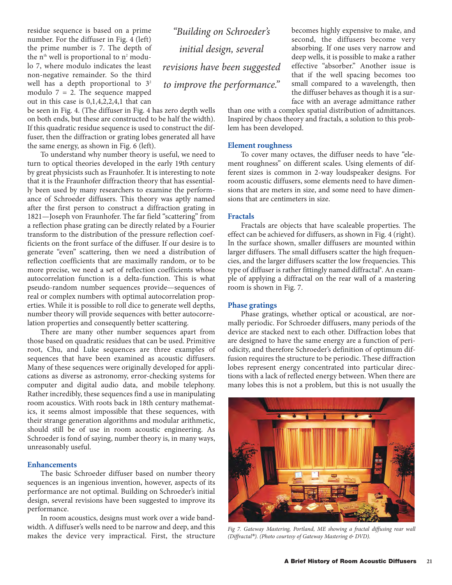residue sequence is based on a prime number. For the diffuser in Fig. 4 (left) the prime number is 7. The depth of the  $n<sup>th</sup>$  well is proportional to  $n<sup>2</sup>$  modulo 7, where modulo indicates the least non-negative remainder. So the third well has a depth proportional to  $3<sup>2</sup>$ modulo  $7 = 2$ . The sequence mapped out in this case is 0,1,4,2,2,4,1 that can

be seen in Fig. 4. (The diffuser in Fig. 4 has zero depth wells on both ends, but these are constructed to be half the width). If this quadratic residue sequence is used to construct the diffuser, then the diffraction or grating lobes generated all have the same energy, as shown in Fig. 6 (left).

To understand why number theory is useful, we need to turn to optical theories developed in the early 19th century by great physicists such as Fraunhofer. It is interesting to note that it is the Fraunhofer diffraction theory that has essentially been used by many researchers to examine the performance of Schroeder diffusers. This theory was aptly named after the first person to construct a diffraction grating in 1821—Joseph von Fraunhofer. The far field "scattering" from a reflection phase grating can be directly related by a Fourier transform to the distribution of the pressure reflection coefficients on the front surface of the diffuser. If our desire is to generate "even" scattering, then we need a distribution of reflection coefficients that are maximally random, or to be more precise, we need a set of reflection coefficients whose autocorrelation function is a delta-function. This is what pseudo-random number sequences provide—sequences of real or complex numbers with optimal autocorrelation properties. While it is possible to roll dice to generate well depths, number theory will provide sequences with better autocorrelation properties and consequently better scattering.

There are many other number sequences apart from those based on quadratic residues that can be used. Primitive root, Chu, and Luke sequences are three examples of sequences that have been examined as acoustic diffusers. Many of these sequences were originally developed for applications as diverse as astronomy, error-checking systems for computer and digital audio data, and mobile telephony. Rather incredibly, these sequences find a use in manipulating room acoustics. With roots back in 18th century mathematics, it seems almost impossible that these sequences, with their strange generation algorithms and modular arithmetic, should still be of use in room acoustic engineering. As Schroeder is fond of saying, number theory is, in many ways, unreasonably useful.

#### **Enhancements**

The basic Schroeder diffuser based on number theory sequences is an ingenious invention, however, aspects of its performance are not optimal. Building on Schroeder's initial design, several revisions have been suggested to improve its performance.

In room acoustics, designs must work over a wide bandwidth. A diffuser's wells need to be narrow and deep, and this makes the device very impractical. First, the structure

*"Building on Schroeder's initial design, several revisions have been suggested to improve the performance."*

becomes highly expensive to make, and second, the diffusers become very absorbing. If one uses very narrow and deep wells, it is possible to make a rather effective "absorber." Another issue is that if the well spacing becomes too small compared to a wavelength, then the diffuser behaves as though it is a surface with an average admittance rather

than one with a complex spatial distribution of admittances. Inspired by chaos theory and fractals, a solution to this problem has been developed.

#### **Element roughness**

To cover many octaves, the diffuser needs to have "element roughness" on different scales. Using elements of different sizes is common in 2-way loudspeaker designs. For room acoustic diffusers, some elements need to have dimensions that are meters in size, and some need to have dimensions that are centimeters in size.

#### **Fractals**

Fractals are objects that have scaleable properties. The effect can be achieved for diffusers, as shown in Fig. 4 (right). In the surface shown, smaller diffusers are mounted within larger diffusers. The small diffusers scatter the high frequencies, and the larger diffusers scatter the low frequencies. This type of diffuser is rather fittingly named diffractal<sup>s</sup>. An example of applying a diffractal on the rear wall of a mastering room is shown in Fig. 7.

#### **Phase gratings**

Phase gratings, whether optical or acoustical, are normally periodic. For Schroeder diffusers, many periods of the device are stacked next to each other. Diffraction lobes that are designed to have the same energy are a function of periodicity, and therefore Schroeder's definition of optimum diffusion requires the structure to be periodic. These diffraction lobes represent energy concentrated into particular directions with a lack of reflected energy between. When there are many lobes this is not a problem, but this is not usually the



*Fig 7. Gateway Mastering, Portland, ME showing a fractal diffusing rear wall (Diffractal®). (Photo courtesy of Gateway Mastering & DVD).*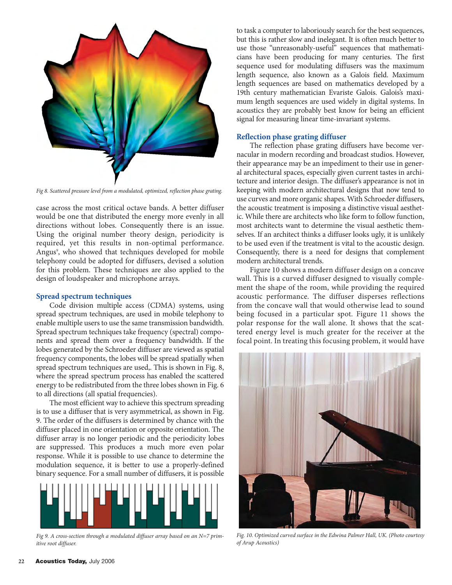

*Fig 8. Scattered pressure level from a modulated, optimized, reflection phase grating.*

case across the most critical octave bands. A better diffuser would be one that distributed the energy more evenly in all directions without lobes. Consequently there is an issue. Using the original number theory design, periodicity is required, yet this results in non-optimal performance. Angus<sup>9</sup>, who showed that techniques developed for mobile telephony could be adopted for diffusers, devised a solution for this problem. These techniques are also applied to the design of loudspeaker and microphone arrays.

#### **Spread spectrum techniques**

Code division multiple access (CDMA) systems, using spread spectrum techniques, are used in mobile telephony to enable multiple users to use the same transmission bandwidth. Spread spectrum techniques take frequency (spectral) components and spread them over a frequency bandwidth. If the lobes generated by the Schroeder diffuser are viewed as spatial frequency components, the lobes will be spread spatially when spread spectrum techniques are used,. This is shown in Fig. 8, where the spread spectrum process has enabled the scattered energy to be redistributed from the three lobes shown in Fig. 6 to all directions (all spatial frequencies).

The most efficient way to achieve this spectrum spreading is to use a diffuser that is very asymmetrical, as shown in Fig. 9. The order of the diffusers is determined by chance with the diffuser placed in one orientation or opposite orientation. The diffuser array is no longer periodic and the periodicity lobes are suppressed. This produces a much more even polar response. While it is possible to use chance to determine the modulation sequence, it is better to use a properly-defined binary sequence. For a small number of diffusers, it is possible



*Fig 9. A cross-section through a modulated diffuser array based on an N=7 primitive root diffuser.*

to task a computer to laboriously search for the best sequences, but this is rather slow and inelegant. It is often much better to use those "unreasonably-useful" sequences that mathematicians have been producing for many centuries. The first sequence used for modulating diffusers was the maximum length sequence, also known as a Galois field. Maximum length sequences are based on mathematics developed by a 19th century mathematician Evariste Galois. Galois's maximum length sequences are used widely in digital systems. In acoustics they are probably best know for being an efficient signal for measuring linear time-invariant systems.

### **Reflection phase grating diffuser**

The reflection phase grating diffusers have become vernacular in modern recording and broadcast studios. However, their appearance may be an impediment to their use in general architectural spaces, especially given current tastes in architecture and interior design. The diffuser's appearance is not in keeping with modern architectural designs that now tend to use curves and more organic shapes. With Schroeder diffusers, the acoustic treatment is imposing a distinctive visual aesthetic. While there are architects who like form to follow function, most architects want to determine the visual aesthetic themselves. If an architect thinks a diffuser looks ugly, it is unlikely to be used even if the treatment is vital to the acoustic design. Consequently, there is a need for designs that complement modern architectural trends.

Figure 10 shows a modern diffuser design on a concave wall. This is a curved diffuser designed to visually complement the shape of the room, while providing the required acoustic performance. The diffuser disperses reflections from the concave wall that would otherwise lead to sound being focused in a particular spot. Figure 11 shows the polar response for the wall alone. It shows that the scattered energy level is much greater for the receiver at the focal point. In treating this focusing problem, it would have



*Fig. 10. Optimized curved surface in the Edwina Palmer Hall, UK. (Photo courtesy of Arup Acoustics)*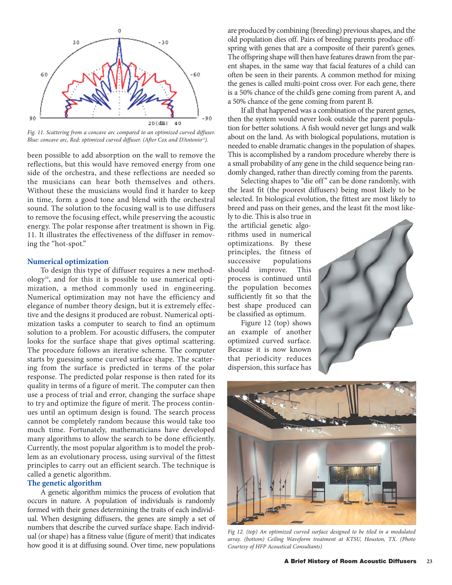

*Fig. 11. Scattering from a concave arc compared to an optimized curved diffuser. Blue: concave arc, Red: optimized curved diffuser. (After Cox and D'Antonio15).*

been possible to add absorption on the wall to remove the reflections, but this would have removed energy from one side of the orchestra, and these reflections are needed so the musicians can hear both themselves and others. Without these the musicians would find it harder to keep in time, form a good tone and blend with the orchestral sound. The solution to the focusing wall is to use diffusers to remove the focusing effect, while preserving the acoustic energy. The polar response after treatment is shown in Fig. 11. It illustrates the effectiveness of the diffuser in removing the "hot-spot."

#### **Numerical optimization**

To design this type of diffuser requires a new methodology<sup>10</sup>, and for this it is possible to use numerical optimization, a method commonly used in engineering. Numerical optimization may not have the efficiency and elegance of number theory design, but it is extremely effective and the designs it produced are robust. Numerical optimization tasks a computer to search to find an optimum solution to a problem. For acoustic diffusers, the computer looks for the surface shape that gives optimal scattering. The procedure follows an iterative scheme. The computer starts by guessing some curved surface shape. The scattering from the surface is predicted in terms of the polar response. The predicted polar response is then rated for its quality in terms of a figure of merit. The computer can then use a process of trial and error, changing the surface shape to try and optimize the figure of merit. The process continues until an optimum design is found. The search process cannot be completely random because this would take too much time. Fortunately, mathematicians have developed many algorithms to allow the search to be done efficiently. Currently, the most popular algorithm is to model the problem as an evolutionary process, using survival of the fittest principles to carry out an efficient search. The technique is called a genetic algorithm.

## **The genetic algorithm**

A genetic algorithm mimics the process of evolution that occurs in nature. A population of individuals is randomly formed with their genes determining the traits of each individual. When designing diffusers, the genes are simply a set of numbers that describe the curved surface shape. Each individual (or shape) has a fitness value (figure of merit) that indicates how good it is at diffusing sound. Over time, new populations are produced by combining (breeding) previous shapes, and the old population dies off. Pairs of breeding parents produce offspring with genes that are a composite of their parent's genes. The offspring shape will then have features drawn from the parent shapes, in the same way that facial features of a child can often be seen in their parents. A common method for mixing the genes is called multi-point cross over. For each gene, there is a 50% chance of the child's gene coming from parent A, and a 50% chance of the gene coming from parent B.

If all that happened was a combination of the parent genes, then the system would never look outside the parent population for better solutions. A fish would never get lungs and walk about on the land. As with biological populations, mutation is needed to enable dramatic changes in the population of shapes. This is accomplished by a random procedure whereby there is a small probability of any gene in the child sequence being randomly changed, rather than directly coming from the parents.

Selecting shapes to "die off" can be done randomly, with the least fit (the poorest diffusers) being most likely to be selected. In biological evolution, the fittest are most likely to breed and pass on their genes, and the least fit the most like-

ly to die. This is also true in the artificial genetic algorithms used in numerical optimizations. By these principles, the fitness of successive populations should improve. This process is continued until the population becomes sufficiently fit so that the best shape produced can be classified as optimum.

Figure 12 (top) shows an example of another optimized curved surface. Because it is now known that periodicity reduces dispersion, this surface has





*Fig 12. (top) An optimized curved surface designed to be tiled in a modulated array. (bottom) Ceiling Waveform treatment at KTSU, Houston, TX. (Photo Courtesy of HFP Acoustical Consultants)*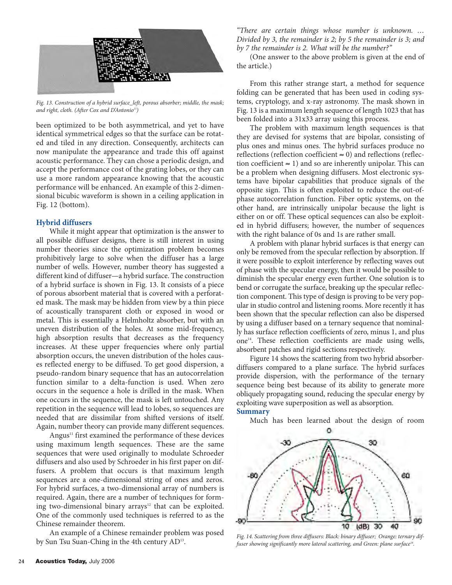

*Fig. 13. Construction of a hybrid surface\_left, porous absorber; middle, the mask; and right, cloth. (After Cox and D'Antonio15)*

been optimized to be both asymmetrical, and yet to have identical symmetrical edges so that the surface can be rotated and tiled in any direction. Consequently, architects can now manipulate the appearance and trade this off against acoustic performance. They can chose a periodic design, and accept the performance cost of the grating lobes, or they can use a more random appearance knowing that the acoustic performance will be enhanced. An example of this 2-dimensional bicubic waveform is shown in a ceiling application in Fig. 12 (bottom).

#### **Hybrid diffusers**

While it might appear that optimization is the answer to all possible diffuser designs, there is still interest in using number theories since the optimization problem becomes prohibitively large to solve when the diffuser has a large number of wells. However, number theory has suggested a different kind of diffuser—a hybrid surface. The construction of a hybrid surface is shown in Fig. 13. It consists of a piece of porous absorbent material that is covered with a perforated mask. The mask may be hidden from view by a thin piece of acoustically transparent cloth or exposed in wood or metal. This is essentially a Helmholtz absorber, but with an uneven distribution of the holes. At some mid-frequency, high absorption results that decreases as the frequency increases. At these upper frequencies where only partial absorption occurs, the uneven distribution of the holes causes reflected energy to be diffused. To get good dispersion, a pseudo-random binary sequence that has an autocorrelation function similar to a delta-function is used. When zero occurs in the sequence a hole is drilled in the mask. When one occurs in the sequence, the mask is left untouched. Any repetition in the sequence will lead to lobes, so sequences are needed that are dissimilar from shifted versions of itself. Again, number theory can provide many different sequences.

Angus<sup>11</sup> first examined the performance of these devices using maximum length sequences. These are the same sequences that were used originally to modulate Schroeder diffusers and also used by Schroeder in his first paper on diffusers. A problem that occurs is that maximum length sequences are a one-dimensional string of ones and zeros. For hybrid surfaces, a two-dimensional array of numbers is required. Again, there are a number of techniques for forming two-dimensional binary arrays $12$  that can be exploited. One of the commonly used techniques is referred to as the Chinese remainder theorem.

An example of a Chinese remainder problem was posed All example of a Chinese remainder problem was posed Fig. 14. Scattering from three diffusers: Black: binary diffuser; Orange: ternary dif-<br>*Fig. 14. Scattering from three diffusers: Black: binary diffusers; Orange: ternar* 

*"There are certain things whose number is unknown. … Divided by 3, the remainder is 2; by 5 the remainder is 3; and by 7 the remainder is 2. What will be the number?"*

(One answer to the above problem is given at the end of the article.)

From this rather strange start, a method for sequence folding can be generated that has been used in coding systems, cryptology, and x-ray astronomy. The mask shown in Fig. 13 is a maximum length sequence of length 1023 that has been folded into a 31x33 array using this process.

The problem with maximum length sequences is that they are devised for systems that are bipolar, consisting of plus ones and minus ones. The hybrid surfaces produce no reflections (reflection coefficient  $\approx$  0) and reflections (reflection coefficient  $\approx$  1) and so are inherently unipolar. This can be a problem when designing diffusers. Most electronic systems have bipolar capabilities that produce signals of the opposite sign. This is often exploited to reduce the out-ofphase autocorrelation function. Fiber optic systems, on the other hand, are intrinsically unipolar because the light is either on or off. These optical sequences can also be exploited in hybrid diffusers; however, the number of sequences with the right balance of 0s and 1s are rather small.

A problem with planar hybrid surfaces is that energy can only be removed from the specular reflection by absorption. If it were possible to exploit interference by reflecting waves out of phase with the specular energy, then it would be possible to diminish the specular energy even further. One solution is to bend or corrugate the surface, breaking up the specular reflection component. This type of design is proving to be very popular in studio control and listening rooms. More recently it has been shown that the specular reflection can also be dispersed by using a diffuser based on a ternary sequence that nominally has surface reflection coefficients of zero, minus 1, and plus one<sup>14</sup>. These reflection coefficients are made using wells, absorbent patches and rigid sections respectively.

Figure 14 shows the scattering from two hybrid absorberdiffusers compared to a plane surface. The hybrid surfaces provide dispersion, with the performance of the ternary sequence being best because of its ability to generate more obliquely propagating sound, reducing the specular energy by exploiting wave superposition as well as absorption. **Summary**

Much has been learned about the design of room



*fuser showing significantly more lateral scattering, and Green: plane surface18.*